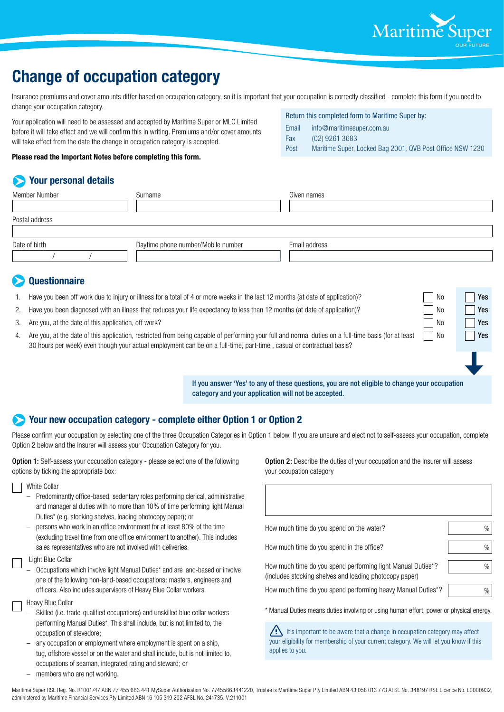

No **Yes** 

# **Change of occupation category**

Insurance premiums and cover amounts differ based on occupation category, so it is important that your occupation is correctly classified - complete this form if you need to change your occupation category. Return this completed form to Maritime Super by:

Your application will need to be assessed and accepted by Maritime Super or MLC Limited before it will take effect and we will confirm this in writing. Premiums and/or cover amounts will take effect from the date the change in occupation category is accepted.

**Please read the Important Notes before completing this form.**

## **Your personal details**

| Surname                            | Given names   |  |
|------------------------------------|---------------|--|
|                                    |               |  |
|                                    |               |  |
|                                    |               |  |
| Daytime phone number/Mobile number | Email address |  |
|                                    |               |  |
|                                    |               |  |

## **Questionnaire**

- Have you been off work due to injury or illness for a total of 4 or more weeks in the last 12 months (at date of application)?
- 2. Have you been diagnosed with an illness that reduces your life expectancy to less than 12 months (at date of application)?
- 3. Are you, at the date of this application, off work?  $\Box$  No Yes
- 4. Are you, at the date of this application, restricted from being capable of performing your full and normal duties on a full-time basis (for at least 30 hours per week) even though your actual employment can be on a full-time, part-time , casual or contractual basis?

If you answer 'Yes' to any of these questions, you are not eligible to change your occupation category and your application will not be accepted.

Email info@maritimesuper.com.au

Post Maritime Super, Locked Bag 2001, QVB Post Office NSW 1230

Fax (02) 9261 3683

## **Your new occupation category - complete either Option 1 or Option 2**

Please confirm your occupation by selecting one of the three Occupation Categories in Option 1 below. If you are unsure and elect not to self-assess your occupation, complete Option 2 below and the Insurer will assess your Occupation Category for you.

Option 1: Self-assess your occupation category - please select one of the following options by ticking the appropriate box:

White Collar

- Predominantly office-based, sedentary roles performing clerical, administrative and managerial duties with no more than 10% of time performing light Manual Duties\* (e.g. stocking shelves, loading photocopy paper); or
- persons who work in an office environment for at least 80% of the time (excluding travel time from one office environment to another). This includes sales representatives who are not involved with deliveries.
- Light Blue Collar
	- Occupations which involve light Manual Duties\* and are land-based or involve one of the following non-land-based occupations: masters, engineers and officers. Also includes supervisors of Heavy Blue Collar workers.
- Heavy Blue Collar
- Skilled (i.e. trade-qualified occupations) and unskilled blue collar workers performing Manual Duties\*. This shall include, but is not limited to, the occupation of stevedore;
- any occupation or employment where employment is spent on a ship, tug, offshore vessel or on the water and shall include, but is not limited to, occupations of seaman, integrated rating and steward; or

**Option 2:** Describe the duties of your occupation and the Insurer will assess your occupation category

| How much time do you spend on the water?                                                                                            | %    |
|-------------------------------------------------------------------------------------------------------------------------------------|------|
| How much time do you spend in the office?                                                                                           | %    |
| How much time do you spend performing light Manual Duties <sup>*</sup> ?<br>(includes stocking shelves and loading photocopy paper) | %    |
| How much time do you spend performing heavy Manual Duties <sup>*</sup> ?                                                            | $\%$ |
| * Manual Duties means duties involving or using human effort, power or physical energy.                                             |      |

 $\sqrt{!}$  It's important to be aware that a change in occupation category may affect your eligibility for membership of your current category. We will let you know if this applies to you.

members who are not working.

Maritime Super RSE Reg. No. R1001747 ABN 77 455 663 441 MySuper Authorisation No. 77455663441220, Trustee is Maritime Super Pty Limited ABN 43 058 013 773 AFSL No. 348197 RSE Licence No. L0000932, administered by Maritime Financial Services Pty Limited ABN 16 105 319 202 AFSL No. 241735. V.211001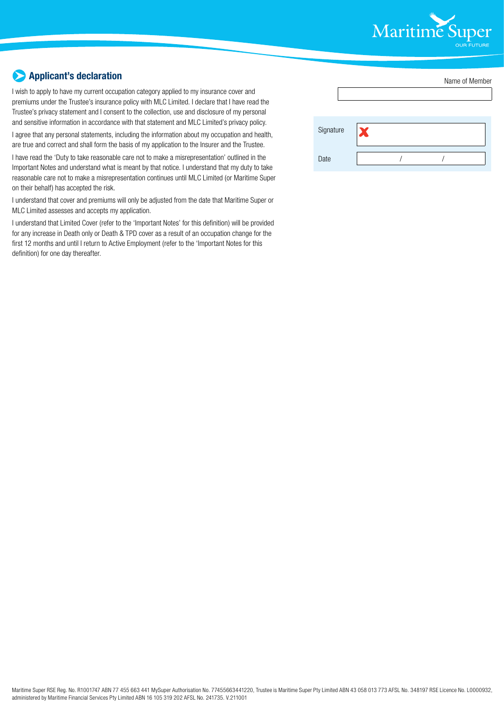

# **Applicant's declaration**

I wish to apply to have my current occupation category applied to my insurance cover and premiums under the Trustee's insurance policy with MLC Limited. I declare that I have read the Trustee's privacy statement and I consent to the collection, use and disclosure of my personal and sensitive information in accordance with that statement and MLC Limited's privacy policy.

I agree that any personal statements, including the information about my occupation and health, are true and correct and shall form the basis of my application to the Insurer and the Trustee.

I have read the 'Duty to take reasonable care not to make a misrepresentation' outlined in the Important Notes and understand what is meant by that notice. I understand that my duty to take reasonable care not to make a misrepresentation continues until MLC Limited (or Maritime Super on their behalf) has accepted the risk.

I understand that cover and premiums will only be adjusted from the date that Maritime Super or MLC Limited assesses and accepts my application.

I understand that Limited Cover (refer to the 'Important Notes' for this definition) will be provided for any increase in Death only or Death & TPD cover as a result of an occupation change for the first 12 months and until I return to Active Employment (refer to the 'Important Notes for this definition) for one day thereafter.

|           |   | Name of Member |  |  |
|-----------|---|----------------|--|--|
|           |   |                |  |  |
|           |   |                |  |  |
| Signature | X |                |  |  |
| Date      |   |                |  |  |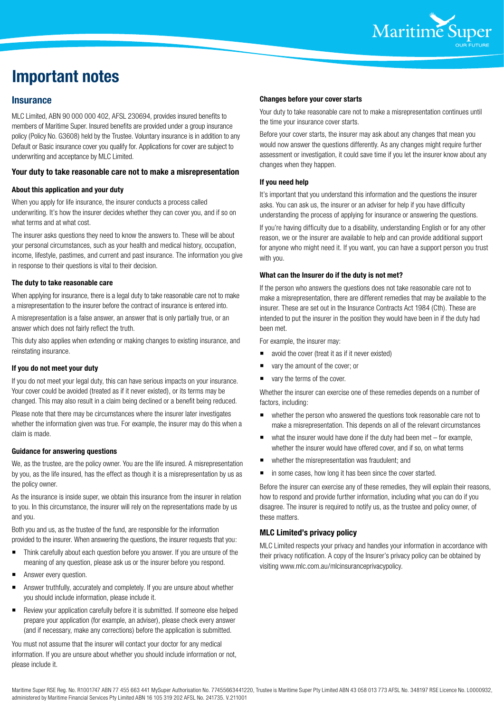

# **Important notes**

## **Insurance**

MLC Limited, ABN 90 000 000 402, AFSL 230694, provides insured benefits to members of Maritime Super. Insured benefits are provided under a group insurance policy (Policy No. G3608) held by the Trustee. Voluntary insurance is in addition to any Default or Basic insurance cover you qualify for. Applications for cover are subject to underwriting and acceptance by MLC Limited.

#### **Your duty to take reasonable care not to make a misrepresentation**

#### **About this application and your duty**

When you apply for life insurance, the insurer conducts a process called underwriting. It's how the insurer decides whether they can cover you, and if so on what terms and at what cost.

The insurer asks questions they need to know the answers to. These will be about your personal circumstances, such as your health and medical history, occupation, income, lifestyle, pastimes, and current and past insurance. The information you give in response to their questions is vital to their decision.

#### **The duty to take reasonable care**

When applying for insurance, there is a legal duty to take reasonable care not to make a misrepresentation to the insurer before the contract of insurance is entered into.

A misrepresentation is a false answer, an answer that is only partially true, or an answer which does not fairly reflect the truth.

This duty also applies when extending or making changes to existing insurance, and reinstating insurance.

#### **If you do not meet your duty**

If you do not meet your legal duty, this can have serious impacts on your insurance. Your cover could be avoided (treated as if it never existed), or its terms may be changed. This may also result in a claim being declined or a benefit being reduced.

Please note that there may be circumstances where the insurer later investigates whether the information given was true. For example, the insurer may do this when a claim is made.

#### **Guidance for answering questions**

We, as the trustee, are the policy owner. You are the life insured. A misrepresentation by you, as the life insured, has the effect as though it is a misrepresentation by us as the policy owner.

As the insurance is inside super, we obtain this insurance from the insurer in relation to you. In this circumstance, the insurer will rely on the representations made by us and you.

Both you and us, as the trustee of the fund, are responsible for the information provided to the insurer. When answering the questions, the insurer requests that you:

- Think carefully about each question before you answer. If you are unsure of the meaning of any question, please ask us or the insurer before you respond.
- Answer every question.
- Answer truthfully, accurately and completely. If you are unsure about whether you should include information, please include it.
- Review your application carefully before it is submitted. If someone else helped prepare your application (for example, an adviser), please check every answer (and if necessary, make any corrections) before the application is submitted.

You must not assume that the insurer will contact your doctor for any medical information. If you are unsure about whether you should include information or not, please include it.

#### **Changes before your cover starts**

Your duty to take reasonable care not to make a misrepresentation continues until the time your insurance cover starts.

Before your cover starts, the insurer may ask about any changes that mean you would now answer the questions differently. As any changes might require further assessment or investigation, it could save time if you let the insurer know about any changes when they happen.

#### **If you need help**

It's important that you understand this information and the questions the insurer asks. You can ask us, the insurer or an adviser for help if you have difficulty understanding the process of applying for insurance or answering the questions.

If you're having difficulty due to a disability, understanding English or for any other reason, we or the insurer are available to help and can provide additional support for anyone who might need it. If you want, you can have a support person you trust with you.

#### **What can the Insurer do if the duty is not met?**

If the person who answers the questions does not take reasonable care not to make a misrepresentation, there are different remedies that may be available to the insurer. These are set out in the Insurance Contracts Act 1984 (Cth). These are intended to put the insurer in the position they would have been in if the duty had been met.

For example, the insurer may:

- avoid the cover (treat it as if it never existed)
- vary the amount of the cover; or
- vary the terms of the cover.

Whether the insurer can exercise one of these remedies depends on a number of factors, including:

- whether the person who answered the questions took reasonable care not to make a misrepresentation. This depends on all of the relevant circumstances
- what the insurer would have done if the duty had been met for example, whether the insurer would have offered cover, and if so, on what terms
- whether the misrepresentation was fraudulent; and
- **n** in some cases, how long it has been since the cover started.

Before the insurer can exercise any of these remedies, they will explain their reasons, how to respond and provide further information, including what you can do if you disagree. The insurer is required to notify us, as the trustee and policy owner, of these matters.

### **MLC Limited's privacy policy**

MLC Limited respects your privacy and handles your information in accordance with their privacy notification. A copy of the Insurer's privacy policy can be obtained by visiting www.mlc.com.au/mlcinsuranceprivacypolicy.